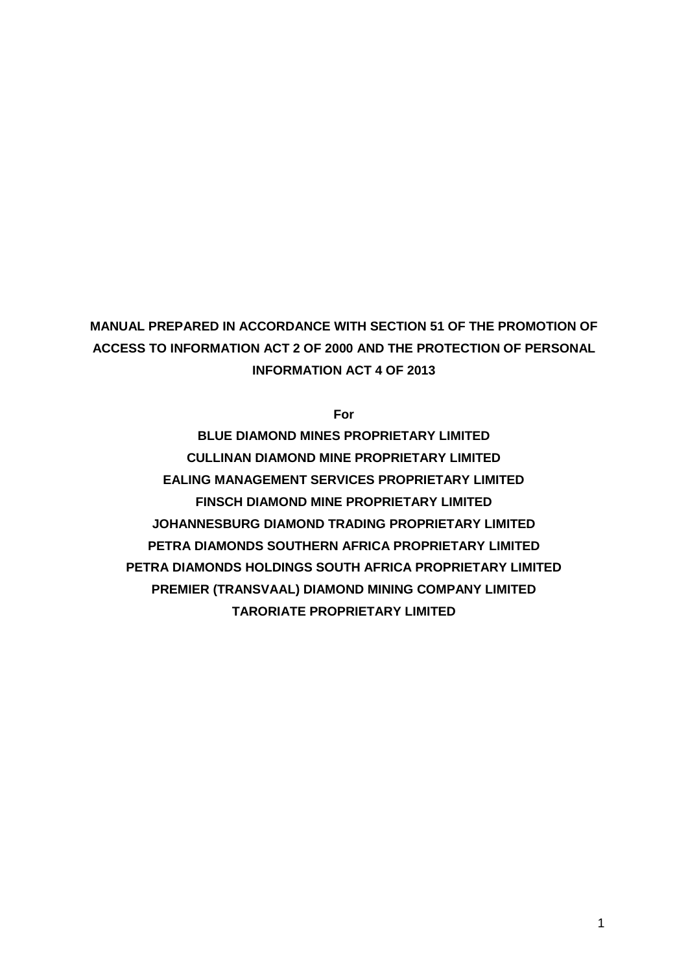# **MANUAL PREPARED IN ACCORDANCE WITH SECTION 51 OF THE PROMOTION OF ACCESS TO INFORMATION ACT 2 OF 2000 AND THE PROTECTION OF PERSONAL INFORMATION ACT 4 OF 2013**

**For**

**BLUE DIAMOND MINES PROPRIETARY LIMITED CULLINAN DIAMOND MINE PROPRIETARY LIMITED EALING MANAGEMENT SERVICES PROPRIETARY LIMITED FINSCH DIAMOND MINE PROPRIETARY LIMITED JOHANNESBURG DIAMOND TRADING PROPRIETARY LIMITED PETRA DIAMONDS SOUTHERN AFRICA PROPRIETARY LIMITED PETRA DIAMONDS HOLDINGS SOUTH AFRICA PROPRIETARY LIMITED PREMIER (TRANSVAAL) DIAMOND MINING COMPANY LIMITED TARORIATE PROPRIETARY LIMITED**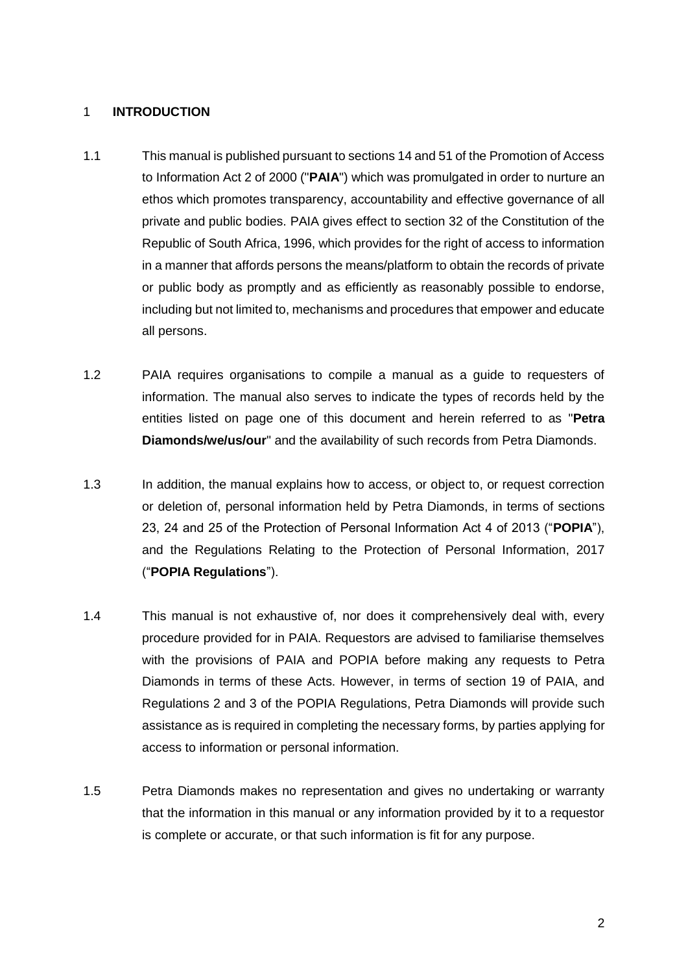#### 1 **INTRODUCTION**

- 1.1 This manual is published pursuant to sections 14 and 51 of the Promotion of Access to Information Act 2 of 2000 ("**PAIA**") which was promulgated in order to nurture an ethos which promotes transparency, accountability and effective governance of all private and public bodies. PAIA gives effect to section 32 of the Constitution of the Republic of South Africa, 1996, which provides for the right of access to information in a manner that affords persons the means/platform to obtain the records of private or public body as promptly and as efficiently as reasonably possible to endorse, including but not limited to, mechanisms and procedures that empower and educate all persons.
- 1.2 PAIA requires organisations to compile a manual as a guide to requesters of information. The manual also serves to indicate the types of records held by the entities listed on page one of this document and herein referred to as "**Petra Diamonds/we/us/our**" and the availability of such records from Petra Diamonds.
- 1.3 In addition, the manual explains how to access, or object to, or request correction or deletion of, personal information held by Petra Diamonds, in terms of sections 23, 24 and 25 of the Protection of Personal Information Act 4 of 2013 ("**POPIA**"), and the Regulations Relating to the Protection of Personal Information, 2017 ("**POPIA Regulations**").
- 1.4 This manual is not exhaustive of, nor does it comprehensively deal with, every procedure provided for in PAIA. Requestors are advised to familiarise themselves with the provisions of PAIA and POPIA before making any requests to Petra Diamonds in terms of these Acts. However, in terms of section 19 of PAIA, and Regulations 2 and 3 of the POPIA Regulations, Petra Diamonds will provide such assistance as is required in completing the necessary forms, by parties applying for access to information or personal information.
- 1.5 Petra Diamonds makes no representation and gives no undertaking or warranty that the information in this manual or any information provided by it to a requestor is complete or accurate, or that such information is fit for any purpose.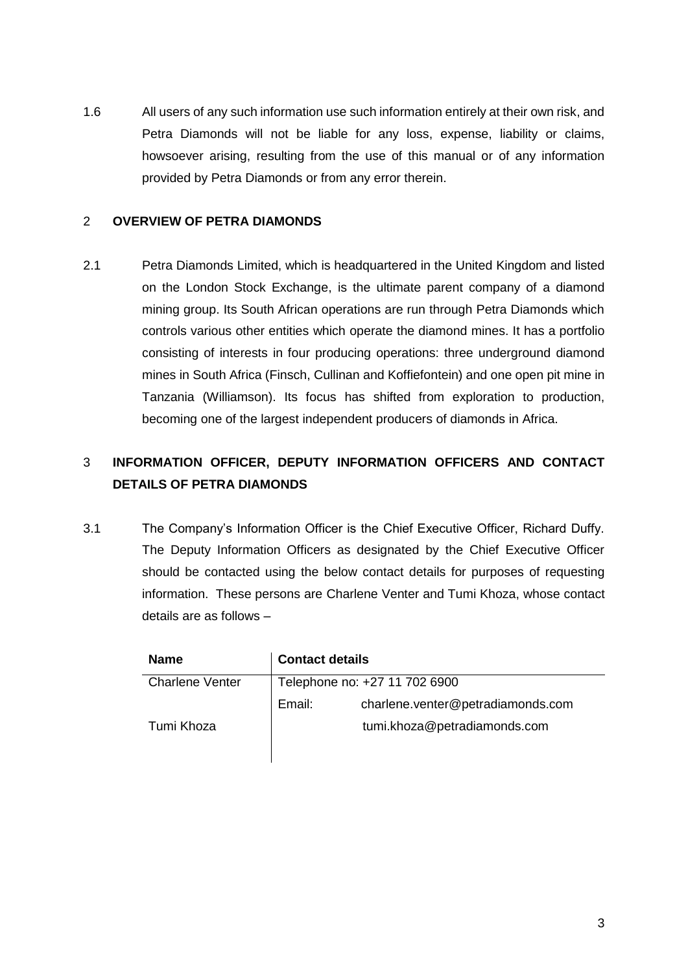1.6 All users of any such information use such information entirely at their own risk, and Petra Diamonds will not be liable for any loss, expense, liability or claims, howsoever arising, resulting from the use of this manual or of any information provided by Petra Diamonds or from any error therein.

## 2 **OVERVIEW OF PETRA DIAMONDS**

2.1 Petra Diamonds Limited, which is headquartered in the United Kingdom and listed on the London Stock Exchange, is the ultimate parent company of a diamond mining group. Its South African operations are run through Petra Diamonds which controls various other entities which operate the diamond mines. It has a portfolio consisting of interests in four producing operations: three underground diamond mines in South Africa (Finsch, Cullinan and Koffiefontein) and one open pit mine in Tanzania (Williamson). Its focus has shifted from exploration to production, becoming one of the largest independent producers of diamonds in Africa.

# 3 **INFORMATION OFFICER, DEPUTY INFORMATION OFFICERS AND CONTACT DETAILS OF PETRA DIAMONDS**

<span id="page-2-0"></span>3.1 The Company's Information Officer is the Chief Executive Officer, Richard Duffy. The Deputy Information Officers as designated by the Chief Executive Officer should be contacted using the below contact details for purposes of requesting information. These persons are Charlene Venter and Tumi Khoza, whose contact details are as follows –

| <b>Name</b>            | <b>Contact details</b>        |                                   |  |  |  |
|------------------------|-------------------------------|-----------------------------------|--|--|--|
| <b>Charlene Venter</b> | Telephone no: +27 11 702 6900 |                                   |  |  |  |
|                        | Email:                        | charlene.venter@petradiamonds.com |  |  |  |
| Tumi Khoza             |                               | tumi.khoza@petradiamonds.com      |  |  |  |
|                        |                               |                                   |  |  |  |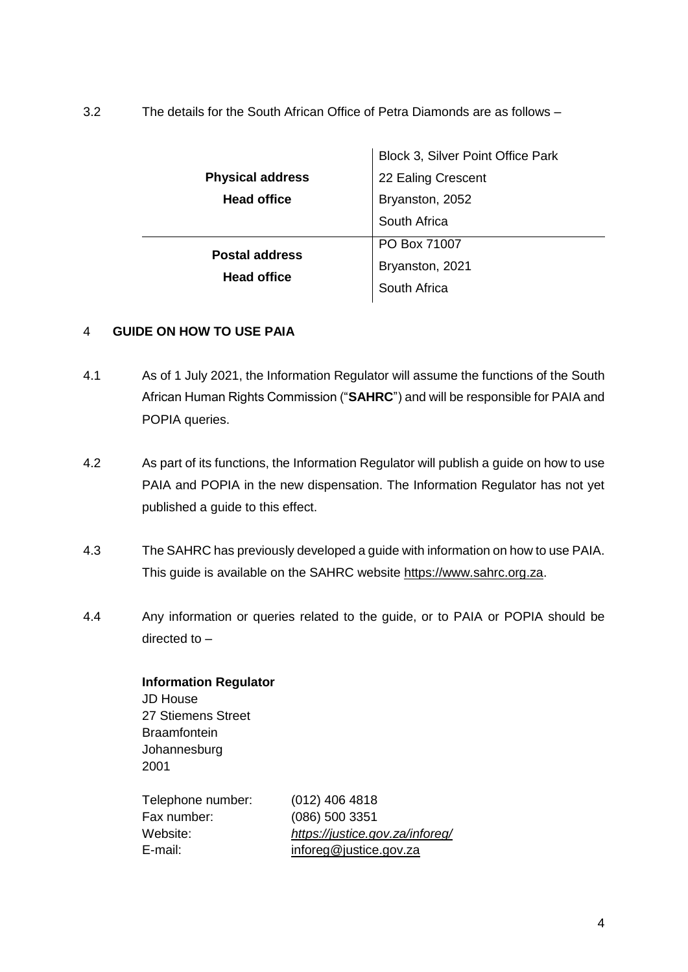<span id="page-3-0"></span>3.2 The details for the South African Office of Petra Diamonds are as follows –

|                         | Block 3, Silver Point Office Park |  |  |  |  |
|-------------------------|-----------------------------------|--|--|--|--|
| <b>Physical address</b> | 22 Ealing Crescent                |  |  |  |  |
| <b>Head office</b>      | Bryanston, 2052                   |  |  |  |  |
|                         | South Africa                      |  |  |  |  |
| <b>Postal address</b>   | PO Box 71007                      |  |  |  |  |
| <b>Head office</b>      | Bryanston, 2021                   |  |  |  |  |
|                         | South Africa                      |  |  |  |  |
|                         |                                   |  |  |  |  |

## 4 **GUIDE ON HOW TO USE PAIA**

- 4.1 As of 1 July 2021, the Information Regulator will assume the functions of the South African Human Rights Commission ("**SAHRC**") and will be responsible for PAIA and POPIA queries.
- 4.2 As part of its functions, the Information Regulator will publish a guide on how to use PAIA and POPIA in the new dispensation. The Information Regulator has not yet published a guide to this effect.
- 4.3 The SAHRC has previously developed a guide with information on how to use PAIA. This guide is available on the SAHRC website [https://www.sahrc.org.za.](https://www.sahrc.org.za/)
- 4.4 Any information or queries related to the guide, or to PAIA or POPIA should be directed to –

**Information Regulator**  JD House 27 Stiemens Street **Braamfontein** Johannesburg 2001

| Telephone number: | $(012)$ 406 4818                |
|-------------------|---------------------------------|
| Fax number:       | (086) 500 3351                  |
| Website: .        | https://justice.gov.za/inforeg/ |
| E-mail: l         | inforeg@justice.gov.za          |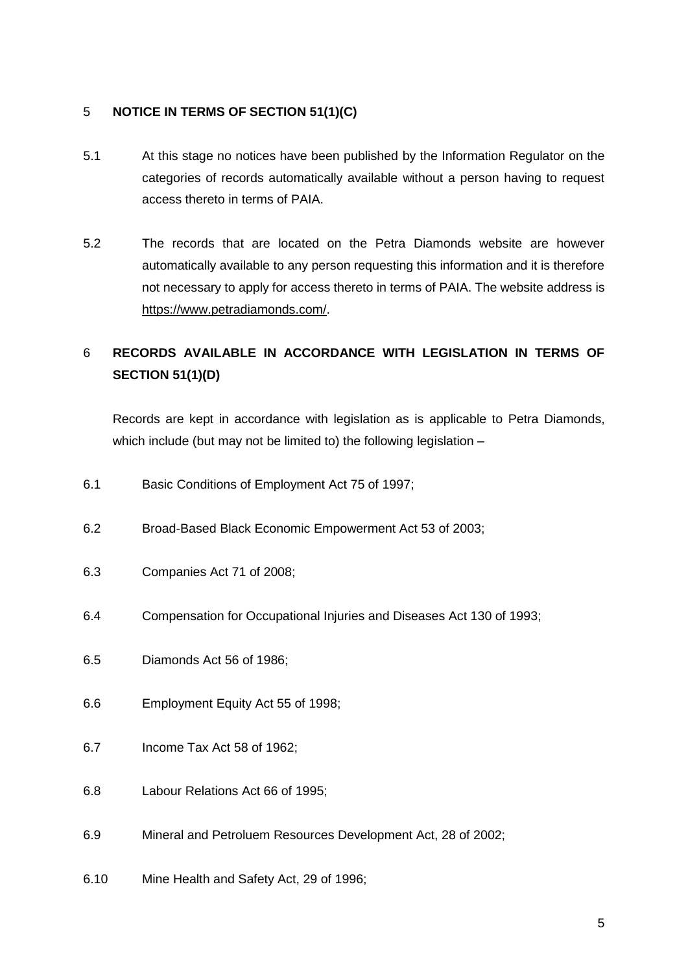# 5 **NOTICE IN TERMS OF SECTION 51(1)(C)**

- 5.1 At this stage no notices have been published by the Information Regulator on the categories of records automatically available without a person having to request access thereto in terms of PAIA.
- 5.2 The records that are located on the Petra Diamonds website are however automatically available to any person requesting this information and it is therefore not necessary to apply for access thereto in terms of PAIA. The website address is [https://www.petradiamonds.com/.](https://www.petradiamonds.com/)

# 6 **RECORDS AVAILABLE IN ACCORDANCE WITH LEGISLATION IN TERMS OF SECTION 51(1)(D)**

Records are kept in accordance with legislation as is applicable to Petra Diamonds, which include (but may not be limited to) the following legislation  $-$ 

- 6.1 Basic Conditions of Employment Act 75 of 1997;
- 6.2 Broad-Based Black Economic Empowerment Act 53 of 2003;
- 6.3 Companies Act 71 of 2008;
- 6.4 Compensation for Occupational Injuries and Diseases Act 130 of 1993;
- 6.5 Diamonds Act 56 of 1986;
- 6.6 Employment Equity Act 55 of 1998;
- 6.7 Income Tax Act 58 of 1962;
- 6.8 Labour Relations Act 66 of 1995;
- 6.9 Mineral and Petroluem Resources Development Act, 28 of 2002;
- 6.10 Mine Health and Safety Act, 29 of 1996;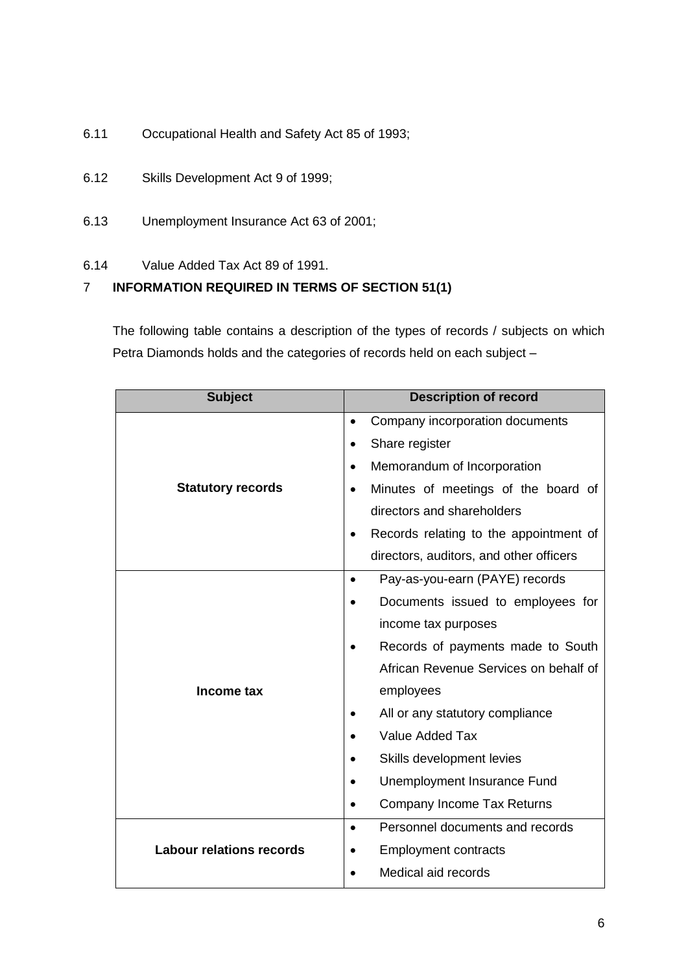- 6.11 Occupational Health and Safety Act 85 of 1993;
- 6.12 Skills Development Act 9 of 1999;
- 6.13 Unemployment Insurance Act 63 of 2001;
- 6.14 Value Added Tax Act 89 of 1991.

# 7 **INFORMATION REQUIRED IN TERMS OF SECTION 51(1)**

The following table contains a description of the types of records / subjects on which Petra Diamonds holds and the categories of records held on each subject –

| <b>Subject</b>                  | <b>Description of record</b>                     |  |  |  |
|---------------------------------|--------------------------------------------------|--|--|--|
|                                 | Company incorporation documents<br>$\bullet$     |  |  |  |
|                                 | Share register                                   |  |  |  |
|                                 | Memorandum of Incorporation                      |  |  |  |
| <b>Statutory records</b>        | Minutes of meetings of the board of<br>$\bullet$ |  |  |  |
|                                 | directors and shareholders                       |  |  |  |
|                                 | Records relating to the appointment of           |  |  |  |
|                                 | directors, auditors, and other officers          |  |  |  |
|                                 | Pay-as-you-earn (PAYE) records                   |  |  |  |
|                                 | Documents issued to employees for                |  |  |  |
|                                 | income tax purposes                              |  |  |  |
|                                 | Records of payments made to South                |  |  |  |
|                                 | African Revenue Services on behalf of            |  |  |  |
| Income tax                      | employees                                        |  |  |  |
|                                 | All or any statutory compliance                  |  |  |  |
|                                 | <b>Value Added Tax</b>                           |  |  |  |
|                                 | Skills development levies                        |  |  |  |
|                                 | Unemployment Insurance Fund                      |  |  |  |
|                                 | Company Income Tax Returns                       |  |  |  |
|                                 | Personnel documents and records                  |  |  |  |
| <b>Labour relations records</b> | <b>Employment contracts</b>                      |  |  |  |
|                                 | Medical aid records                              |  |  |  |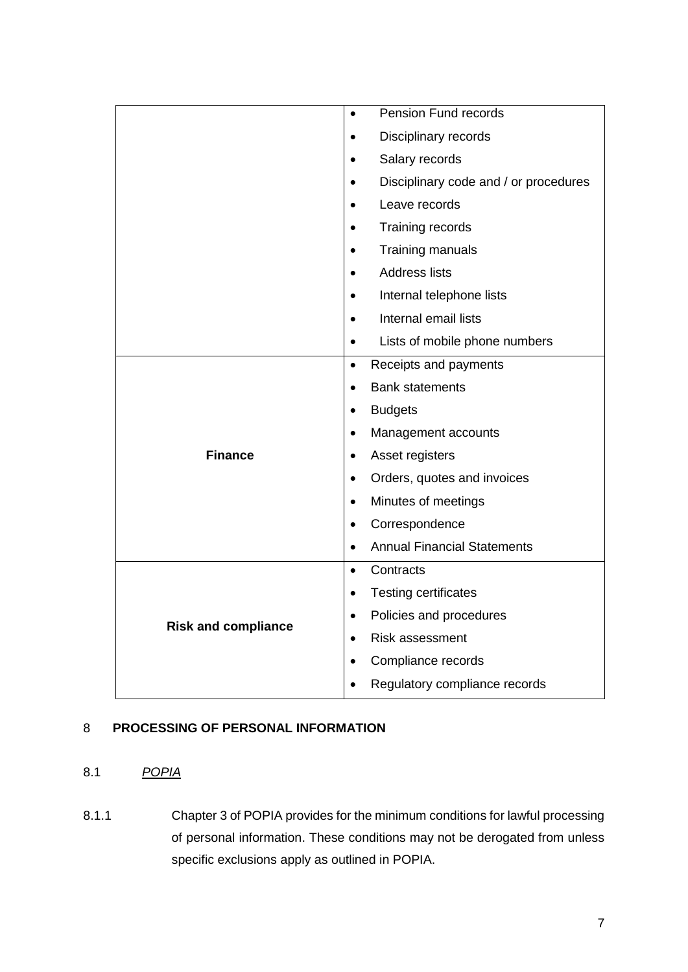|                            | Pension Fund records<br>$\bullet$               |
|----------------------------|-------------------------------------------------|
|                            | Disciplinary records                            |
|                            | Salary records<br>$\bullet$                     |
|                            | Disciplinary code and / or procedures           |
|                            | Leave records                                   |
|                            | Training records<br>$\bullet$                   |
|                            | Training manuals                                |
|                            | <b>Address lists</b>                            |
|                            | Internal telephone lists                        |
|                            | Internal email lists                            |
|                            | Lists of mobile phone numbers                   |
|                            | Receipts and payments<br>$\bullet$              |
|                            | <b>Bank statements</b><br>$\bullet$             |
|                            | <b>Budgets</b><br>٠                             |
|                            | Management accounts<br>$\bullet$                |
| <b>Finance</b>             | Asset registers<br>$\bullet$                    |
|                            | Orders, quotes and invoices<br>$\bullet$        |
|                            | Minutes of meetings<br>٠                        |
|                            | Correspondence<br>$\bullet$                     |
|                            | <b>Annual Financial Statements</b><br>$\bullet$ |
|                            | Contracts<br>$\bullet$                          |
|                            | <b>Testing certificates</b><br>$\bullet$        |
| <b>Risk and compliance</b> | Policies and procedures<br>$\bullet$            |
|                            | <b>Risk assessment</b><br>$\bullet$             |
|                            | Compliance records<br>$\bullet$                 |
|                            | Regulatory compliance records<br>$\bullet$      |

# 8 **PROCESSING OF PERSONAL INFORMATION**

# 8.1 *POPIA*

8.1.1 Chapter 3 of POPIA provides for the minimum conditions for lawful processing of personal information. These conditions may not be derogated from unless specific exclusions apply as outlined in POPIA.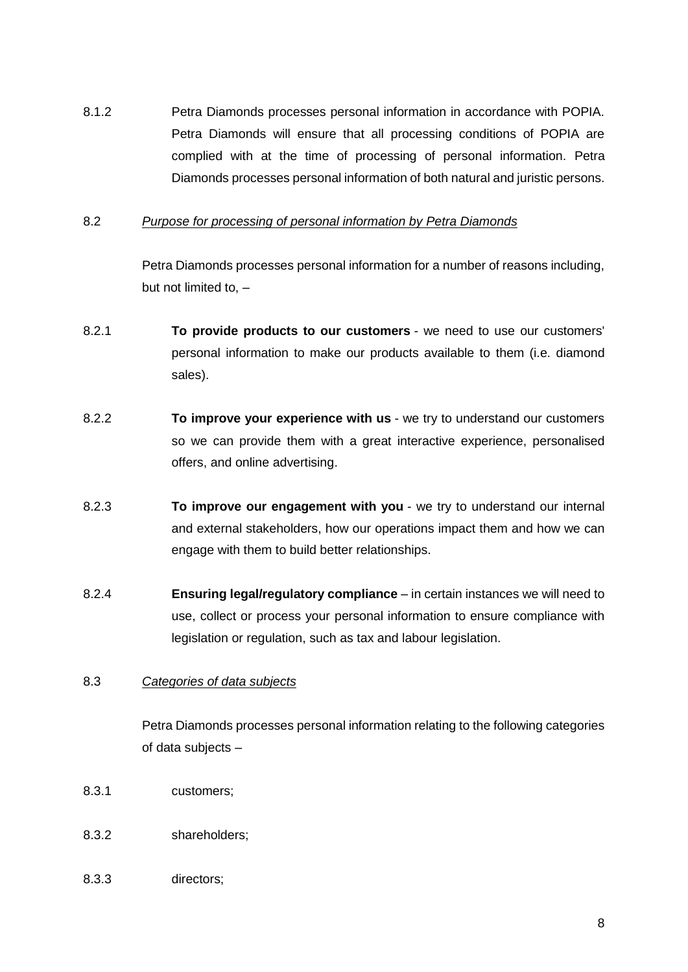8.1.2 Petra Diamonds processes personal information in accordance with POPIA. Petra Diamonds will ensure that all processing conditions of POPIA are complied with at the time of processing of personal information. Petra Diamonds processes personal information of both natural and juristic persons.

#### 8.2 *Purpose for processing of personal information by Petra Diamonds*

Petra Diamonds processes personal information for a number of reasons including, but not limited to, –

- 8.2.1 **To provide products to our customers** we need to use our customers' personal information to make our products available to them (i.e. diamond sales).
- 8.2.2 **To improve your experience with us** we try to understand our customers so we can provide them with a great interactive experience, personalised offers, and online advertising.
- 8.2.3 **To improve our engagement with you** we try to understand our internal and external stakeholders, how our operations impact them and how we can engage with them to build better relationships.
- 8.2.4 **Ensuring legal/regulatory compliance** in certain instances we will need to use, collect or process your personal information to ensure compliance with legislation or regulation, such as tax and labour legislation.

#### 8.3 *Categories of data subjects*

Petra Diamonds processes personal information relating to the following categories of data subjects –

- 8.3.1 customers;
- 8.3.2 shareholders;
- 8.3.3 directors;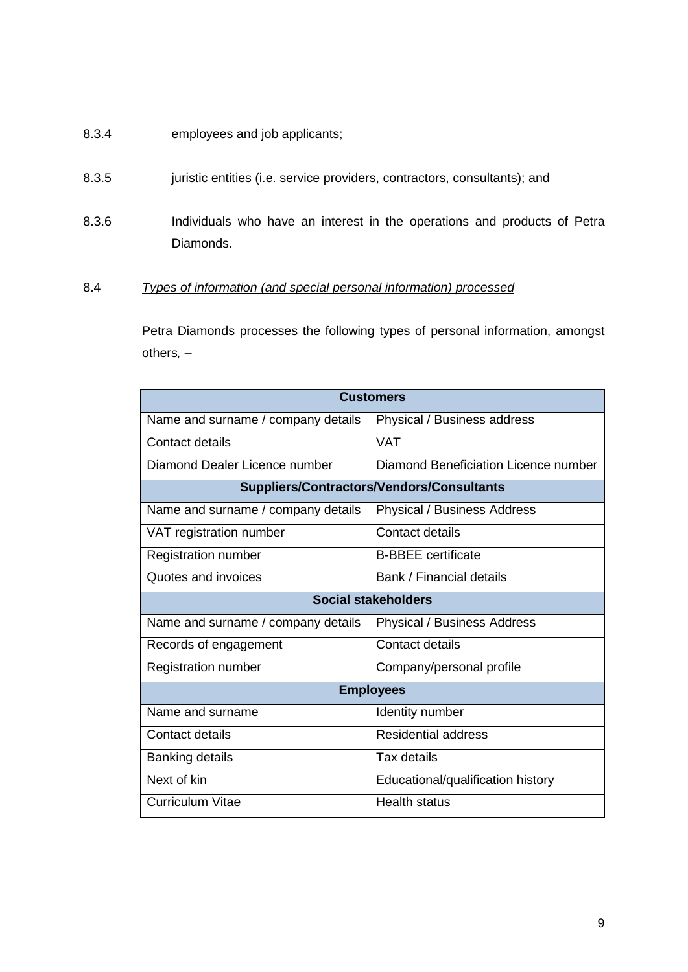- 8.3.4 employees and job applicants;
- 8.3.5 juristic entities (i.e. service providers, contractors, consultants); and
- 8.3.6 Individuals who have an interest in the operations and products of Petra Diamonds.
- 8.4 *Types of information (and special personal information) processed*

Petra Diamonds processes the following types of personal information, amongst others*,* –

| <b>Customers</b>                   |                                           |  |  |  |  |  |
|------------------------------------|-------------------------------------------|--|--|--|--|--|
| Name and surname / company details | Physical / Business address               |  |  |  |  |  |
| Contact details                    | <b>VAT</b>                                |  |  |  |  |  |
| Diamond Dealer Licence number      | Diamond Beneficiation Licence number      |  |  |  |  |  |
|                                    | Suppliers/Contractors/Vendors/Consultants |  |  |  |  |  |
| Name and surname / company details | <b>Physical / Business Address</b>        |  |  |  |  |  |
| VAT registration number            | Contact details                           |  |  |  |  |  |
| <b>Registration number</b>         | <b>B-BBEE</b> certificate                 |  |  |  |  |  |
| Quotes and invoices                | Bank / Financial details                  |  |  |  |  |  |
| <b>Social stakeholders</b>         |                                           |  |  |  |  |  |
| Name and surname / company details | <b>Physical / Business Address</b>        |  |  |  |  |  |
| Records of engagement              | Contact details                           |  |  |  |  |  |
| <b>Registration number</b>         | Company/personal profile                  |  |  |  |  |  |
|                                    | <b>Employees</b>                          |  |  |  |  |  |
| Name and surname                   | Identity number                           |  |  |  |  |  |
| Contact details                    | <b>Residential address</b>                |  |  |  |  |  |
| <b>Banking details</b>             | Tax details                               |  |  |  |  |  |
| Next of kin                        | Educational/qualification history         |  |  |  |  |  |
| <b>Curriculum Vitae</b>            | <b>Health status</b>                      |  |  |  |  |  |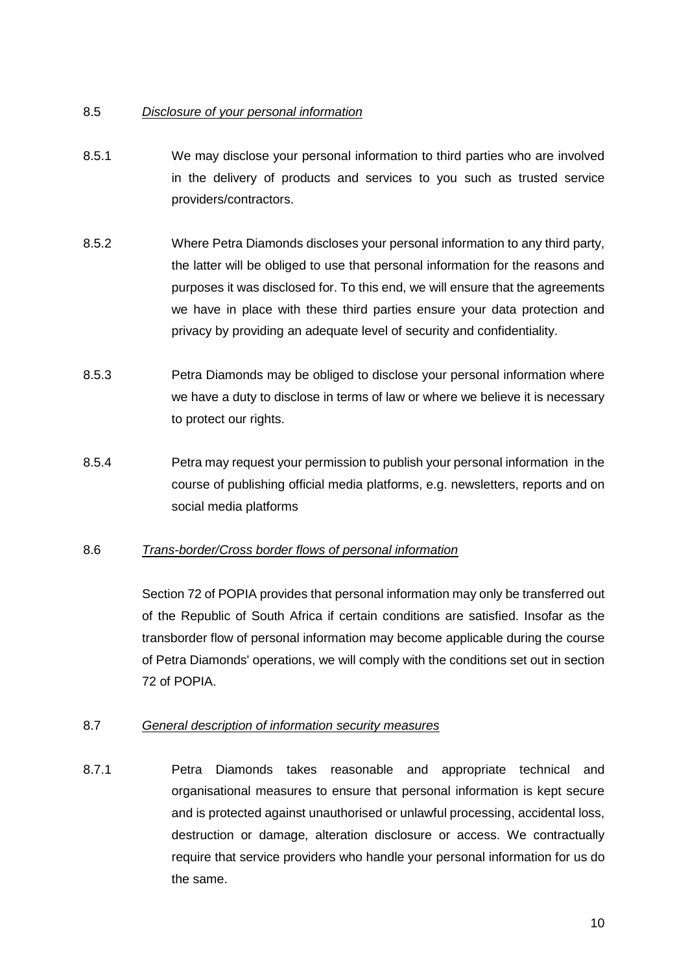# 8.5 *Disclosure of your personal information*

- 8.5.1 We may disclose your personal information to third parties who are involved in the delivery of products and services to you such as trusted service providers/contractors.
- 8.5.2 Where Petra Diamonds discloses your personal information to any third party, the latter will be obliged to use that personal information for the reasons and purposes it was disclosed for. To this end, we will ensure that the agreements we have in place with these third parties ensure your data protection and privacy by providing an adequate level of security and confidentiality.
- 8.5.3 Petra Diamonds may be obliged to disclose your personal information where we have a duty to disclose in terms of law or where we believe it is necessary to protect our rights.
- 8.5.4 Petra may request your permission to publish your personal information in the course of publishing official media platforms, e.g. newsletters, reports and on social media platforms

# 8.6 *Trans-border/Cross border flows of personal information*

Section 72 of POPIA provides that personal information may only be transferred out of the Republic of South Africa if certain conditions are satisfied. Insofar as the transborder flow of personal information may become applicable during the course of Petra Diamonds' operations, we will comply with the conditions set out in section 72 of POPIA.

#### 8.7 *General description of information security measures*

8.7.1 Petra Diamonds takes reasonable and appropriate technical and organisational measures to ensure that personal information is kept secure and is protected against unauthorised or unlawful processing, accidental loss, destruction or damage, alteration disclosure or access. We contractually require that service providers who handle your personal information for us do the same.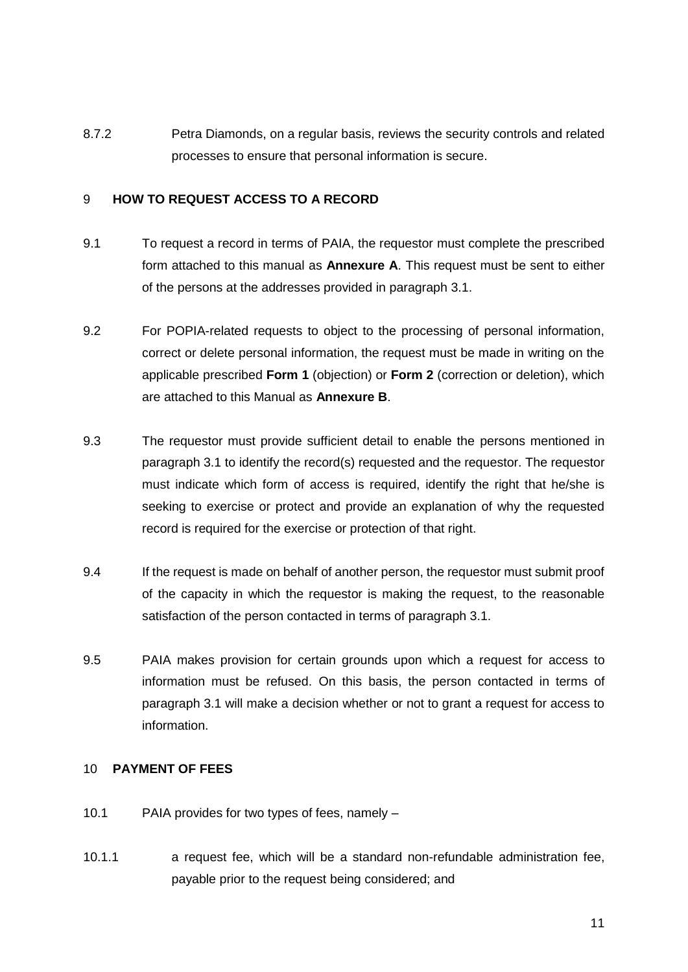8.7.2 Petra Diamonds, on a regular basis, reviews the security controls and related processes to ensure that personal information is secure.

## 9 **HOW TO REQUEST ACCESS TO A RECORD**

- 9.1 To request a record in terms of PAIA, the requestor must complete the prescribed form attached to this manual as **Annexure A**. This request must be sent to either of the persons at the addresses provided in paragraph [3.1.](#page-2-0)
- 9.2 For POPIA-related requests to object to the processing of personal information, correct or delete personal information, the request must be made in writing on the applicable prescribed **Form 1** (objection) or **Form 2** (correction or deletion), which are attached to this Manual as **Annexure B**.
- 9.3 The requestor must provide sufficient detail to enable the persons mentioned in paragraph 3.1 to identify the record(s) requested and the requestor. The requestor must indicate which form of access is required, identify the right that he/she is seeking to exercise or protect and provide an explanation of why the requested record is required for the exercise or protection of that right.
- 9.4 If the request is made on behalf of another person, the requestor must submit proof of the capacity in which the requestor is making the request, to the reasonable satisfaction of the person contacted in terms of paragraph 3.1.
- 9.5 PAIA makes provision for certain grounds upon which a request for access to information must be refused. On this basis, the person contacted in terms of paragraph 3.1 will make a decision whether or not to grant a request for access to information.

#### 10 **PAYMENT OF FEES**

- 10.1 PAIA provides for two types of fees, namely –
- 10.1.1 a request fee, which will be a standard non-refundable administration fee, payable prior to the request being considered; and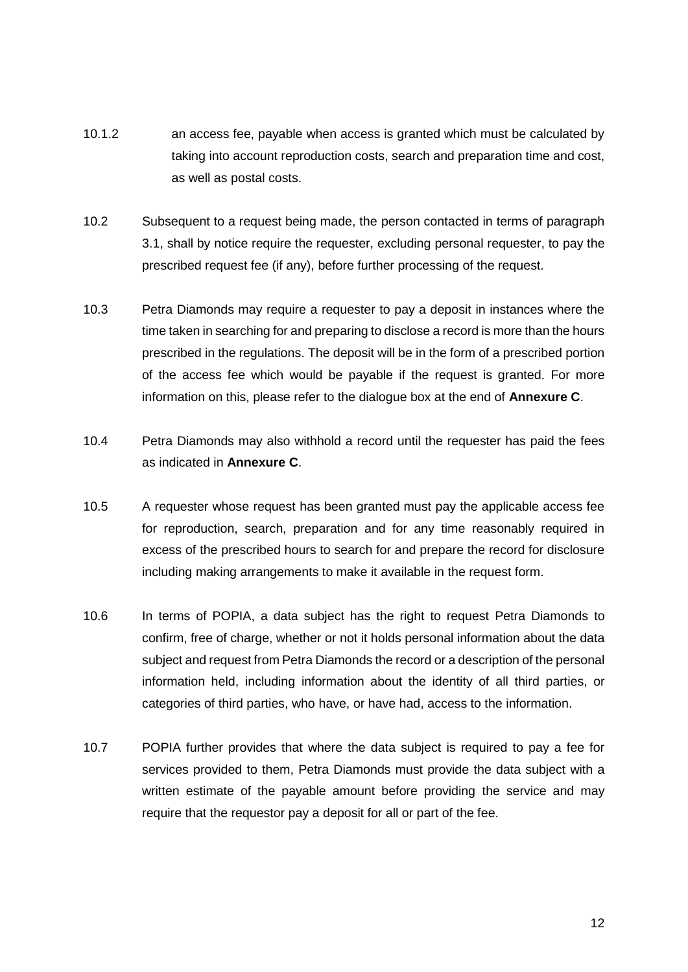- 10.1.2 an access fee, payable when access is granted which must be calculated by taking into account reproduction costs, search and preparation time and cost, as well as postal costs.
- 10.2 Subsequent to a request being made, the person contacted in terms of paragraph 3.1, shall by notice require the requester, excluding personal requester, to pay the prescribed request fee (if any), before further processing of the request.
- 10.3 Petra Diamonds may require a requester to pay a deposit in instances where the time taken in searching for and preparing to disclose a record is more than the hours prescribed in the regulations. The deposit will be in the form of a prescribed portion of the access fee which would be payable if the request is granted. For more information on this, please refer to the dialogue box at the end of **Annexure C**.
- 10.4 Petra Diamonds may also withhold a record until the requester has paid the fees as indicated in **Annexure C**.
- 10.5 A requester whose request has been granted must pay the applicable access fee for reproduction, search, preparation and for any time reasonably required in excess of the prescribed hours to search for and prepare the record for disclosure including making arrangements to make it available in the request form.
- 10.6 In terms of POPIA, a data subject has the right to request Petra Diamonds to confirm, free of charge, whether or not it holds personal information about the data subject and request from Petra Diamonds the record or a description of the personal information held, including information about the identity of all third parties, or categories of third parties, who have, or have had, access to the information.
- 10.7 POPIA further provides that where the data subject is required to pay a fee for services provided to them, Petra Diamonds must provide the data subject with a written estimate of the payable amount before providing the service and may require that the requestor pay a deposit for all or part of the fee.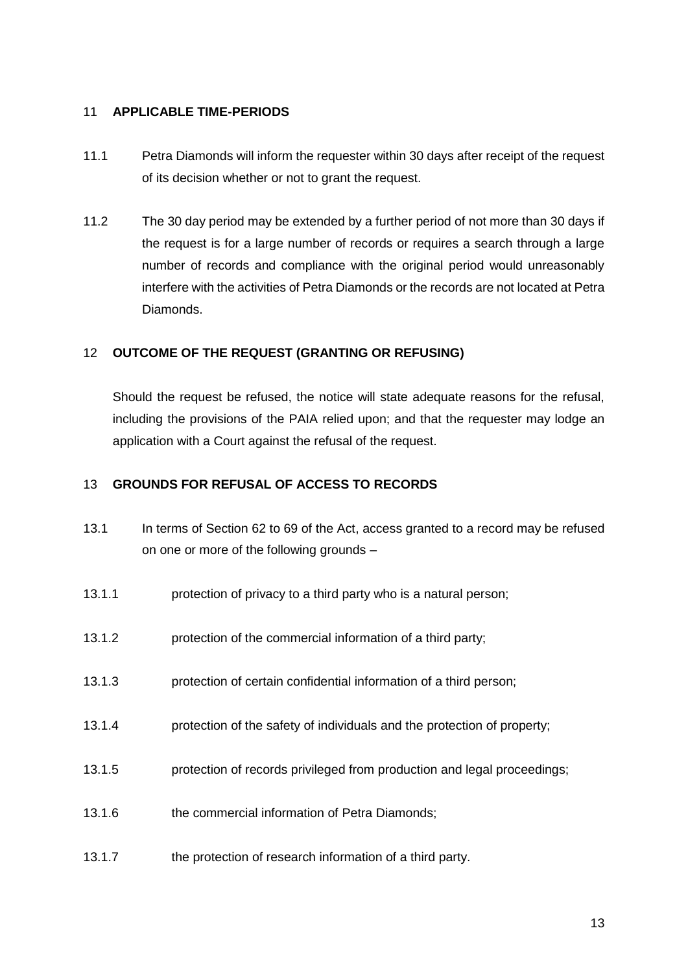## 11 **APPLICABLE TIME-PERIODS**

- 11.1 Petra Diamonds will inform the requester within 30 days after receipt of the request of its decision whether or not to grant the request.
- 11.2 The 30 day period may be extended by a further period of not more than 30 days if the request is for a large number of records or requires a search through a large number of records and compliance with the original period would unreasonably interfere with the activities of Petra Diamonds or the records are not located at Petra Diamonds.

# 12 **OUTCOME OF THE REQUEST (GRANTING OR REFUSING)**

Should the request be refused, the notice will state adequate reasons for the refusal, including the provisions of the PAIA relied upon; and that the requester may lodge an application with a Court against the refusal of the request.

# 13 **GROUNDS FOR REFUSAL OF ACCESS TO RECORDS**

- 13.1 In terms of Section 62 to 69 of the Act, access granted to a record may be refused on one or more of the following grounds –
- 13.1.1 protection of privacy to a third party who is a natural person;
- 13.1.2 protection of the commercial information of a third party;
- 13.1.3 protection of certain confidential information of a third person;
- 13.1.4 protection of the safety of individuals and the protection of property;
- 13.1.5 protection of records privileged from production and legal proceedings;
- 13.1.6 the commercial information of Petra Diamonds;
- 13.1.7 the protection of research information of a third party.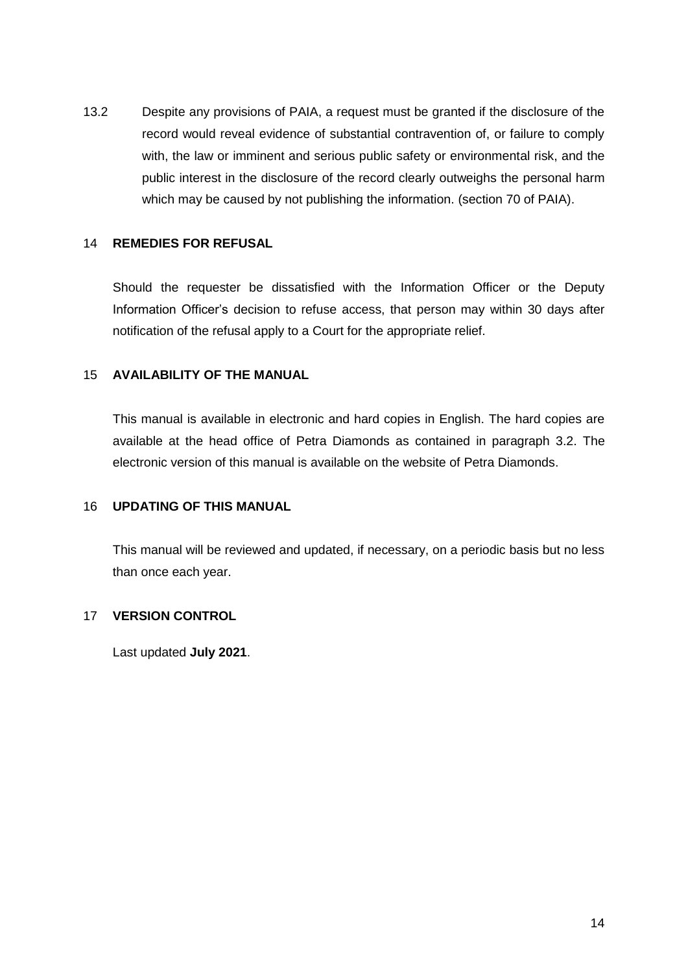13.2 Despite any provisions of PAIA, a request must be granted if the disclosure of the record would reveal evidence of substantial contravention of, or failure to comply with, the law or imminent and serious public safety or environmental risk, and the public interest in the disclosure of the record clearly outweighs the personal harm which may be caused by not publishing the information. (section 70 of PAIA).

#### 14 **REMEDIES FOR REFUSAL**

Should the requester be dissatisfied with the Information Officer or the Deputy Information Officer's decision to refuse access, that person may within 30 days after notification of the refusal apply to a Court for the appropriate relief.

## 15 **AVAILABILITY OF THE MANUAL**

This manual is available in electronic and hard copies in English. The hard copies are available at the head office of Petra Diamonds as contained in paragraph [3.2.](#page-3-0) The electronic version of this manual is available on the website of Petra Diamonds.

#### 16 **UPDATING OF THIS MANUAL**

This manual will be reviewed and updated, if necessary, on a periodic basis but no less than once each year.

## 17 **VERSION CONTROL**

Last updated **July 2021**.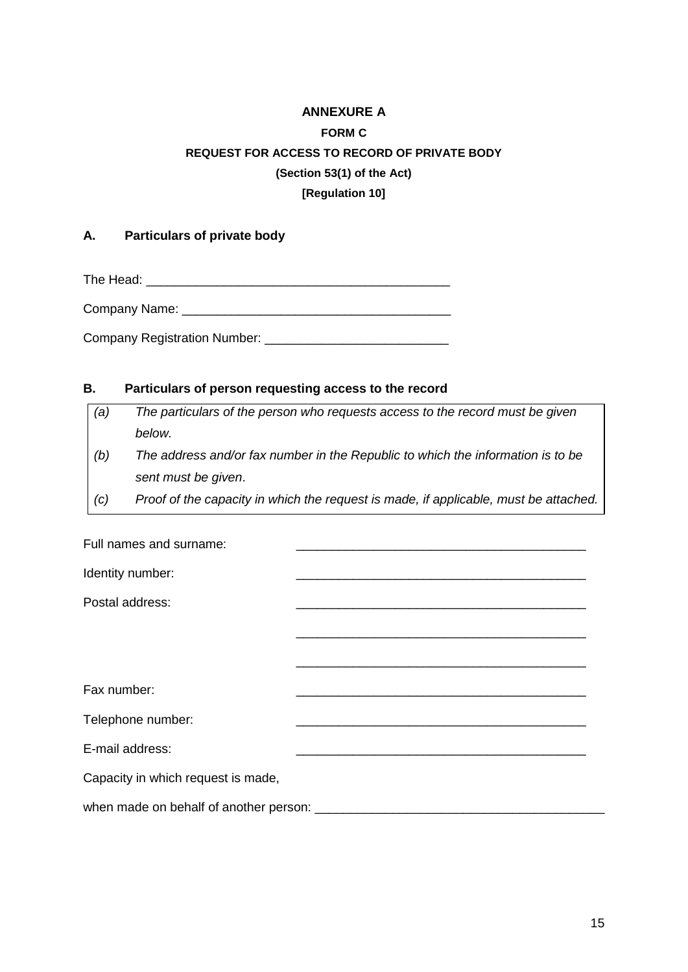# **ANNEXURE A FORM C REQUEST FOR ACCESS TO RECORD OF PRIVATE BODY (Section 53(1) of the Act) [Regulation 10]**

## **A. Particulars of private body**

The Head: \_\_\_\_\_\_\_\_\_\_\_\_\_\_\_\_\_\_\_\_\_\_\_\_\_\_\_\_\_\_\_\_\_\_\_\_\_\_\_\_\_\_\_

Company Name: \_\_\_\_\_\_\_\_\_\_\_\_\_\_\_\_\_\_\_\_\_\_\_\_\_\_\_\_\_\_\_\_\_\_\_\_\_\_

Company Registration Number: \_\_\_\_\_\_\_\_\_\_\_\_\_\_\_\_\_\_\_\_\_\_\_\_\_\_

## **B. Particulars of person requesting access to the record**

*(a) The particulars of the person who requests access to the record must be given below. (b) The address and/or fax number in the Republic to which the information is to be sent must be given*. *(c) Proof of the capacity in which the request is made, if applicable, must be attached.* Full names and surname:

| Identity number:                       |  |
|----------------------------------------|--|
| Postal address:                        |  |
|                                        |  |
|                                        |  |
| Fax number:                            |  |
| Telephone number:                      |  |
| E-mail address:                        |  |
| Capacity in which request is made,     |  |
| when made on behalf of another person: |  |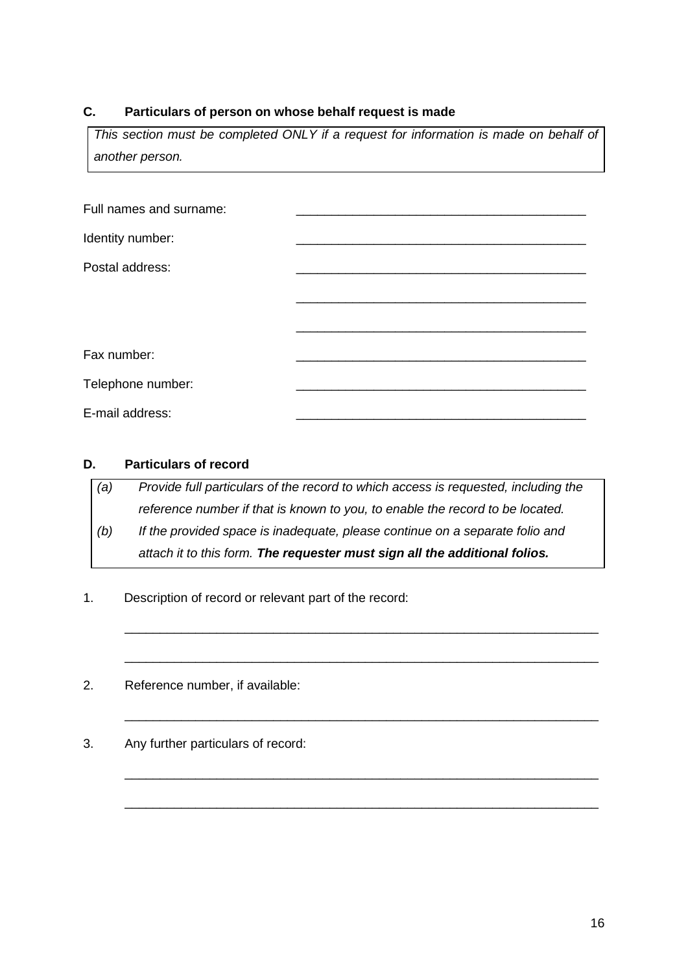## **C. Particulars of person on whose behalf request is made**

*This section must be completed ONLY if a request for information is made on behalf of another person.*

| Full names and surname: |  |
|-------------------------|--|
| Identity number:        |  |
| Postal address:         |  |
|                         |  |
|                         |  |
| Fax number:             |  |
| Telephone number:       |  |
| E-mail address:         |  |

#### **D. Particulars of record**

*(a) Provide full particulars of the record to which access is requested, including the reference number if that is known to you, to enable the record to be located.*

*(b) If the provided space is inadequate, please continue on a separate folio and attach it to this form. The requester must sign all the additional folios.*

\_\_\_\_\_\_\_\_\_\_\_\_\_\_\_\_\_\_\_\_\_\_\_\_\_\_\_\_\_\_\_\_\_\_\_\_\_\_\_\_\_\_\_\_\_\_\_\_\_\_\_\_\_\_\_\_\_\_\_\_\_\_\_\_\_\_\_

\_\_\_\_\_\_\_\_\_\_\_\_\_\_\_\_\_\_\_\_\_\_\_\_\_\_\_\_\_\_\_\_\_\_\_\_\_\_\_\_\_\_\_\_\_\_\_\_\_\_\_\_\_\_\_\_\_\_\_\_\_\_\_\_\_\_\_

\_\_\_\_\_\_\_\_\_\_\_\_\_\_\_\_\_\_\_\_\_\_\_\_\_\_\_\_\_\_\_\_\_\_\_\_\_\_\_\_\_\_\_\_\_\_\_\_\_\_\_\_\_\_\_\_\_\_\_\_\_\_\_\_\_\_\_

\_\_\_\_\_\_\_\_\_\_\_\_\_\_\_\_\_\_\_\_\_\_\_\_\_\_\_\_\_\_\_\_\_\_\_\_\_\_\_\_\_\_\_\_\_\_\_\_\_\_\_\_\_\_\_\_\_\_\_\_\_\_\_\_\_\_\_

\_\_\_\_\_\_\_\_\_\_\_\_\_\_\_\_\_\_\_\_\_\_\_\_\_\_\_\_\_\_\_\_\_\_\_\_\_\_\_\_\_\_\_\_\_\_\_\_\_\_\_\_\_\_\_\_\_\_\_\_\_\_\_\_\_\_\_

- 1. Description of record or relevant part of the record:
- 2. Reference number, if available:
- 3. Any further particulars of record: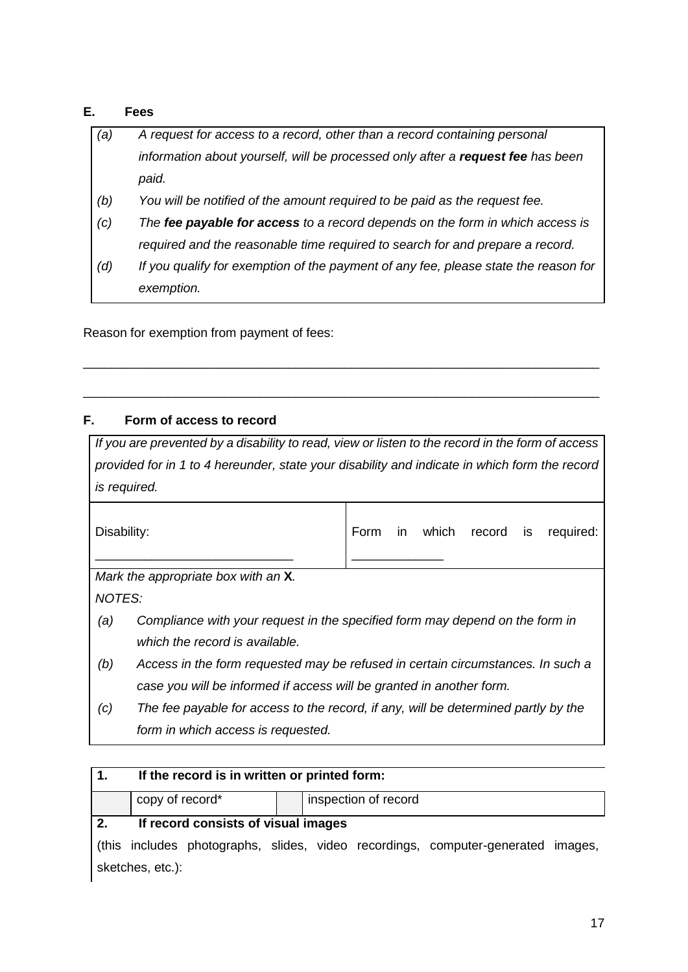# **E. Fees**

- *(a) A request for access to a record, other than a record containing personal information about yourself, will be processed only after a request fee has been paid.*
- *(b) You will be notified of the amount required to be paid as the request fee.*
- *(c) The fee payable for access to a record depends on the form in which access is required and the reasonable time required to search for and prepare a record.*
- *(d) If you qualify for exemption of the payment of any fee, please state the reason for exemption.*

\_\_\_\_\_\_\_\_\_\_\_\_\_\_\_\_\_\_\_\_\_\_\_\_\_\_\_\_\_\_\_\_\_\_\_\_\_\_\_\_\_\_\_\_\_\_\_\_\_\_\_\_\_\_\_\_\_\_\_\_\_\_\_\_\_\_\_\_\_\_\_\_\_

\_\_\_\_\_\_\_\_\_\_\_\_\_\_\_\_\_\_\_\_\_\_\_\_\_\_\_\_\_\_\_\_\_\_\_\_\_\_\_\_\_\_\_\_\_\_\_\_\_\_\_\_\_\_\_\_\_\_\_\_\_\_\_\_\_\_\_\_\_\_\_\_\_

Reason for exemption from payment of fees:

# **F. Form of access to record**

*If you are prevented by a disability to read, view or listen to the record in the form of access provided for in 1 to 4 hereunder, state your disability and indicate in which form the record is required.*

| Disability: |                                                                                    | Form | in. | which | record | is | required: |
|-------------|------------------------------------------------------------------------------------|------|-----|-------|--------|----|-----------|
|             | Mark the appropriate box with an <b>X</b> .                                        |      |     |       |        |    |           |
| NOTES:      |                                                                                    |      |     |       |        |    |           |
| (a)         | Compliance with your request in the specified form may depend on the form in       |      |     |       |        |    |           |
|             | which the record is available.                                                     |      |     |       |        |    |           |
| (b)         | Access in the form requested may be refused in certain circumstances. In such a    |      |     |       |        |    |           |
|             | case you will be informed if access will be granted in another form.               |      |     |       |        |    |           |
| (c)         | The fee payable for access to the record, if any, will be determined partly by the |      |     |       |        |    |           |
|             | form in which access is requested.                                                 |      |     |       |        |    |           |
|             |                                                                                    |      |     |       |        |    |           |

|    | If the record is in written or printed form: |  |  |  |  |                                                                                  |  |  |
|----|----------------------------------------------|--|--|--|--|----------------------------------------------------------------------------------|--|--|
|    | copy of record*<br>inspection of record      |  |  |  |  |                                                                                  |  |  |
| 2. | If record consists of visual images          |  |  |  |  |                                                                                  |  |  |
|    |                                              |  |  |  |  | (this includes photographs, slides, video recordings, computer-generated images, |  |  |
|    | sketches, etc.):                             |  |  |  |  |                                                                                  |  |  |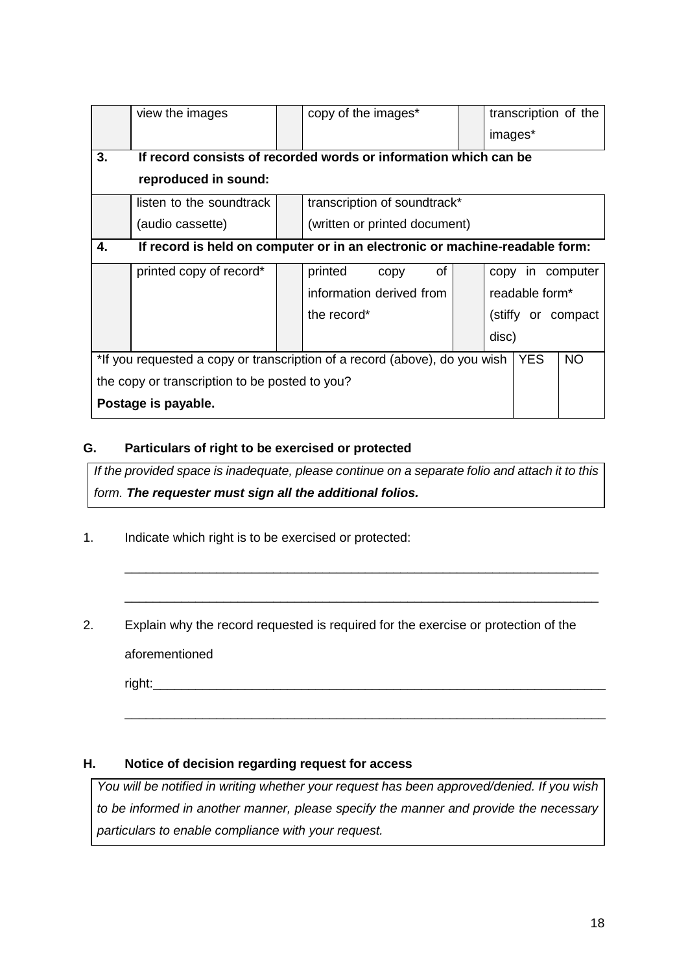|                                                                                                | view the images                                                             |  | copy of the images*                                              |  | transcription of the |  |  |
|------------------------------------------------------------------------------------------------|-----------------------------------------------------------------------------|--|------------------------------------------------------------------|--|----------------------|--|--|
|                                                                                                |                                                                             |  |                                                                  |  | images*              |  |  |
| 3.                                                                                             |                                                                             |  | If record consists of recorded words or information which can be |  |                      |  |  |
|                                                                                                | reproduced in sound:                                                        |  |                                                                  |  |                      |  |  |
|                                                                                                | listen to the soundtrack                                                    |  | transcription of soundtrack*                                     |  |                      |  |  |
|                                                                                                | (audio cassette)                                                            |  | (written or printed document)                                    |  |                      |  |  |
| 4.                                                                                             | If record is held on computer or in an electronic or machine-readable form: |  |                                                                  |  |                      |  |  |
|                                                                                                | printed copy of record*                                                     |  | of<br>printed<br>copy                                            |  | copy in computer     |  |  |
|                                                                                                |                                                                             |  | information derived from                                         |  | readable form*       |  |  |
|                                                                                                |                                                                             |  | the record*                                                      |  | (stiffy or compact   |  |  |
|                                                                                                |                                                                             |  |                                                                  |  | disc)                |  |  |
| *If you requested a copy or transcription of a record (above), do you wish<br><b>YES</b><br>NO |                                                                             |  |                                                                  |  |                      |  |  |
|                                                                                                | the copy or transcription to be posted to you?                              |  |                                                                  |  |                      |  |  |
|                                                                                                | Postage is payable.                                                         |  |                                                                  |  |                      |  |  |

# **G. Particulars of right to be exercised or protected**

*If the provided space is inadequate, please continue on a separate folio and attach it to this form. The requester must sign all the additional folios.*

\_\_\_\_\_\_\_\_\_\_\_\_\_\_\_\_\_\_\_\_\_\_\_\_\_\_\_\_\_\_\_\_\_\_\_\_\_\_\_\_\_\_\_\_\_\_\_\_\_\_\_\_\_\_\_\_\_\_\_\_\_\_\_\_\_\_\_

\_\_\_\_\_\_\_\_\_\_\_\_\_\_\_\_\_\_\_\_\_\_\_\_\_\_\_\_\_\_\_\_\_\_\_\_\_\_\_\_\_\_\_\_\_\_\_\_\_\_\_\_\_\_\_\_\_\_\_\_\_\_\_\_\_\_\_

\_\_\_\_\_\_\_\_\_\_\_\_\_\_\_\_\_\_\_\_\_\_\_\_\_\_\_\_\_\_\_\_\_\_\_\_\_\_\_\_\_\_\_\_\_\_\_\_\_\_\_\_\_\_\_\_\_\_\_\_\_\_\_\_\_\_\_\_

- 1. Indicate which right is to be exercised or protected:
- 2. Explain why the record requested is required for the exercise or protection of the aforementioned

 $right:$ 

# **H. Notice of decision regarding request for access**

*You will be notified in writing whether your request has been approved/denied. If you wish to be informed in another manner, please specify the manner and provide the necessary particulars to enable compliance with your request.*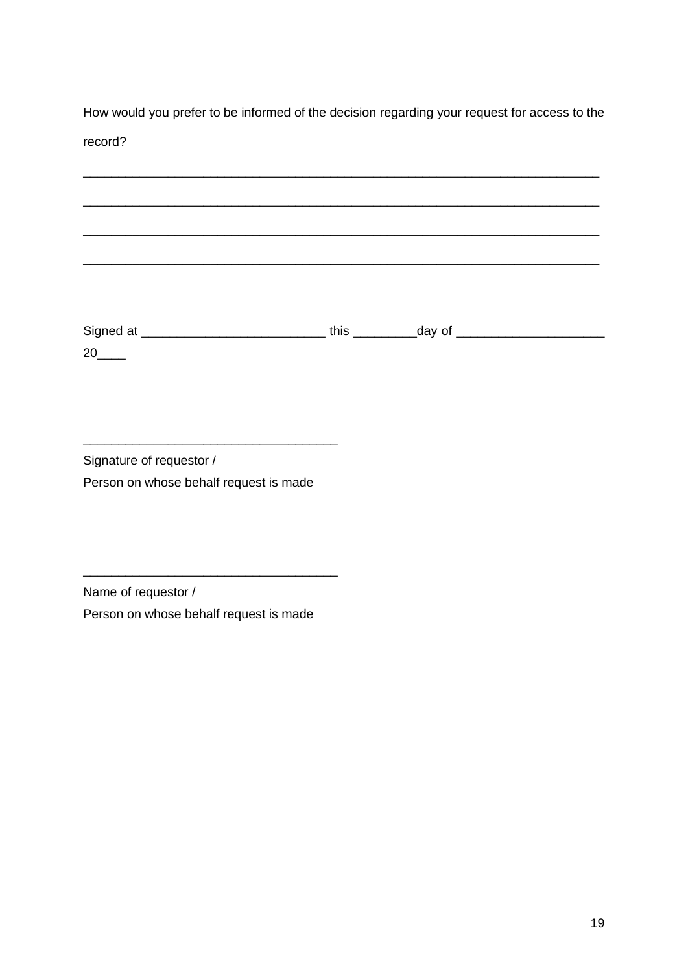How would you prefer to be informed of the decision regarding your request for access to the record?

| Signature of requestor /               |
|----------------------------------------|
| Person on whose behalf request is made |

\_\_\_\_\_\_\_\_\_\_\_\_\_\_\_\_\_\_\_\_\_\_\_\_\_\_\_\_\_\_\_\_\_\_\_\_

Name of requestor / Person on whose behalf request is made

\_\_\_\_\_\_\_\_\_\_\_\_\_\_\_\_\_\_\_\_\_\_\_\_\_\_\_\_\_\_\_\_\_\_\_\_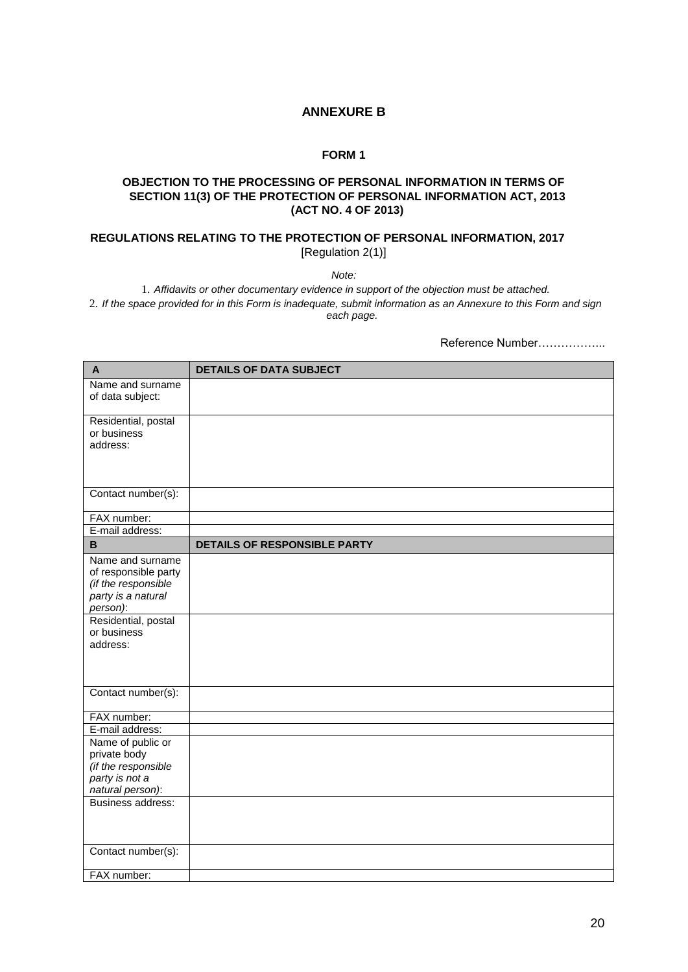#### **ANNEXURE B**

#### **FORM 1**

#### **OBJECTION TO THE PROCESSING OF PERSONAL INFORMATION IN TERMS OF SECTION 11(3) OF THE PROTECTION OF PERSONAL INFORMATION ACT, 2013 (ACT NO. 4 OF 2013)**

#### **REGULATIONS RELATING TO THE PROTECTION OF PERSONAL INFORMATION, 2017** [Regulation 2(1)]

*Note:*

1. *Affidavits or other documentary evidence in support of the objection must be attached.* 2. *If the space provided for in this Form is inadequate, submit information as an Annexure to this Form and sign each page.*

Reference Number……………...

| $\mathsf{A}$                                                                                      | <b>DETAILS OF DATA SUBJECT</b>      |
|---------------------------------------------------------------------------------------------------|-------------------------------------|
| Name and surname<br>of data subject:                                                              |                                     |
| Residential, postal<br>or business<br>address:                                                    |                                     |
|                                                                                                   |                                     |
| Contact number(s):                                                                                |                                     |
| FAX number:                                                                                       |                                     |
| E-mail address:                                                                                   |                                     |
| B                                                                                                 | <b>DETAILS OF RESPONSIBLE PARTY</b> |
| Name and surname<br>of responsible party<br>(if the responsible<br>party is a natural<br>person): |                                     |
| Residential, postal<br>or business<br>address:                                                    |                                     |
| Contact number(s):                                                                                |                                     |
| FAX number:                                                                                       |                                     |
| E-mail address:                                                                                   |                                     |
| Name of public or                                                                                 |                                     |
| private body<br>(if the responsible                                                               |                                     |
| party is not a                                                                                    |                                     |
| natural person):                                                                                  |                                     |
| Business address:                                                                                 |                                     |
| Contact number(s):                                                                                |                                     |
| FAX number:                                                                                       |                                     |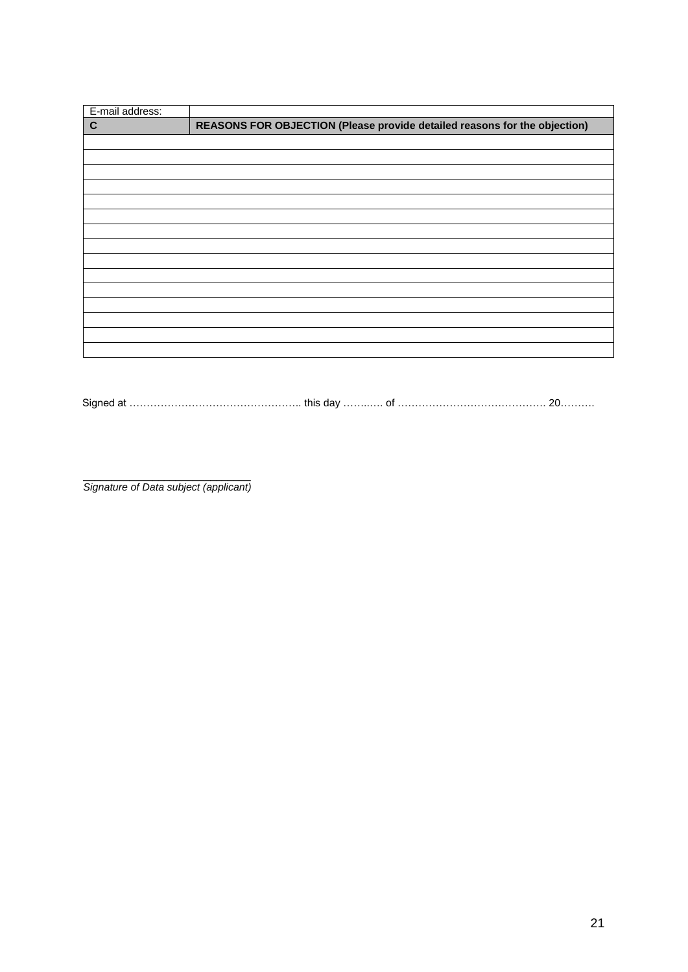| E-mail address: |                                                                           |
|-----------------|---------------------------------------------------------------------------|
| $\mathbf{C}$    | REASONS FOR OBJECTION (Please provide detailed reasons for the objection) |
|                 |                                                                           |
|                 |                                                                           |
|                 |                                                                           |
|                 |                                                                           |
|                 |                                                                           |
|                 |                                                                           |
|                 |                                                                           |
|                 |                                                                           |
|                 |                                                                           |
|                 |                                                                           |
|                 |                                                                           |
|                 |                                                                           |
|                 |                                                                           |
|                 |                                                                           |
|                 |                                                                           |

Signed at ………………………………………….. this day ……..…. of ……………………………………. 20……….

\_\_\_\_\_\_\_\_\_\_\_\_\_\_\_\_\_\_\_\_\_\_\_\_\_\_\_\_\_ *Signature of Data subject (applicant)*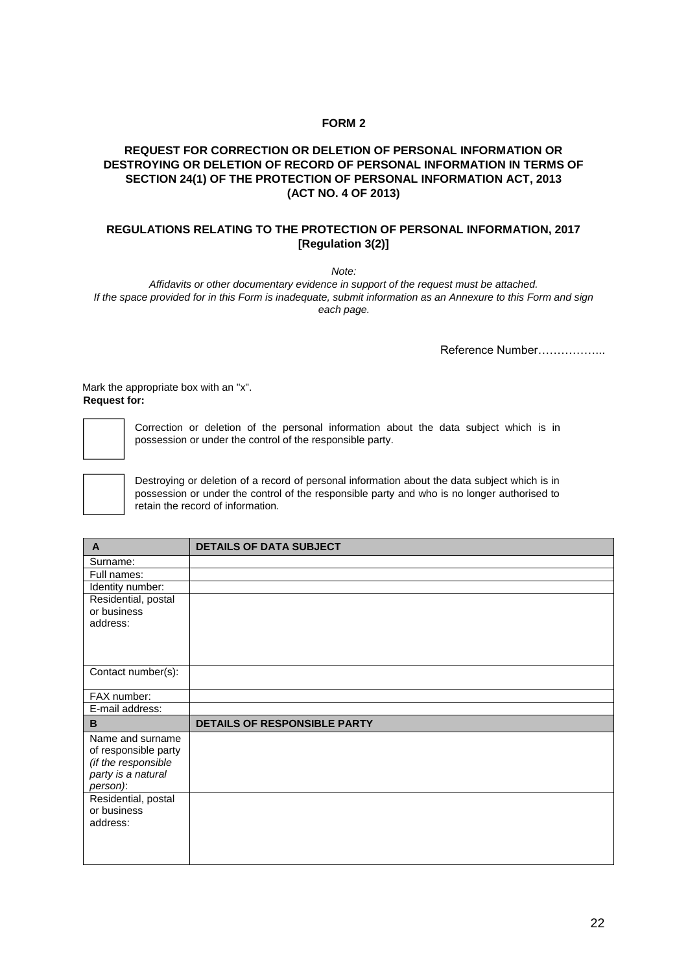#### **FORM 2**

#### **REQUEST FOR CORRECTION OR DELETION OF PERSONAL INFORMATION OR DESTROYING OR DELETION OF RECORD OF PERSONAL INFORMATION IN TERMS OF SECTION 24(1) OF THE PROTECTION OF PERSONAL INFORMATION ACT, 2013 (ACT NO. 4 OF 2013)**

#### **REGULATIONS RELATING TO THE PROTECTION OF PERSONAL INFORMATION, 2017 [Regulation 3(2)]**

*Note:*

*Affidavits or other documentary evidence in support of the request must be attached. If the space provided for in this Form is inadequate, submit information as an Annexure to this Form and sign each page.*

Reference Number……………...

Mark the appropriate box with an "x". **Request for:**



Correction or deletion of the personal information about the data subject which is in possession or under the control of the responsible party.



Destroying or deletion of a record of personal information about the data subject which is in possession or under the control of the responsible party and who is no longer authorised to retain the record of information.

| $\mathsf{A}$         | <b>DETAILS OF DATA SUBJECT</b> |
|----------------------|--------------------------------|
| Surname:             |                                |
| Full names:          |                                |
| Identity number:     |                                |
| Residential, postal  |                                |
| or business          |                                |
| address:             |                                |
|                      |                                |
|                      |                                |
| Contact number(s):   |                                |
|                      |                                |
| FAX number:          |                                |
| E-mail address:      |                                |
| B                    | DETAILS OF RESPONSIBLE PARTY   |
| Name and surname     |                                |
| of responsible party |                                |
| (if the responsible  |                                |
| party is a natural   |                                |
| person):             |                                |
| Residential, postal  |                                |
| or business          |                                |
| address:             |                                |
|                      |                                |
|                      |                                |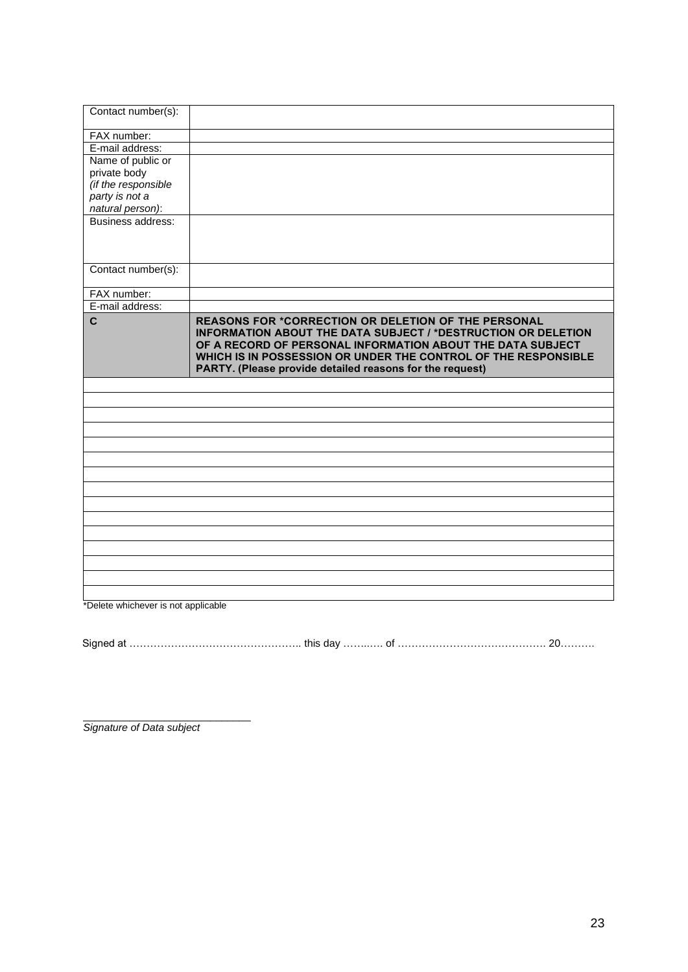| Contact number(s):  |                                                                                                                                                                                                                                                                                                                                |
|---------------------|--------------------------------------------------------------------------------------------------------------------------------------------------------------------------------------------------------------------------------------------------------------------------------------------------------------------------------|
| FAX number:         |                                                                                                                                                                                                                                                                                                                                |
| E-mail address:     |                                                                                                                                                                                                                                                                                                                                |
| Name of public or   |                                                                                                                                                                                                                                                                                                                                |
| private body        |                                                                                                                                                                                                                                                                                                                                |
| (if the responsible |                                                                                                                                                                                                                                                                                                                                |
| party is not a      |                                                                                                                                                                                                                                                                                                                                |
| natural person):    |                                                                                                                                                                                                                                                                                                                                |
| Business address:   |                                                                                                                                                                                                                                                                                                                                |
| Contact number(s):  |                                                                                                                                                                                                                                                                                                                                |
| FAX number:         |                                                                                                                                                                                                                                                                                                                                |
| E-mail address:     |                                                                                                                                                                                                                                                                                                                                |
| C                   | <b>REASONS FOR *CORRECTION OR DELETION OF THE PERSONAL</b><br><b>INFORMATION ABOUT THE DATA SUBJECT / *DESTRUCTION OR DELETION</b><br>OF A RECORD OF PERSONAL INFORMATION ABOUT THE DATA SUBJECT<br>WHICH IS IN POSSESSION OR UNDER THE CONTROL OF THE RESPONSIBLE<br>PARTY. (Please provide detailed reasons for the request) |
|                     |                                                                                                                                                                                                                                                                                                                                |
|                     |                                                                                                                                                                                                                                                                                                                                |
|                     |                                                                                                                                                                                                                                                                                                                                |
|                     |                                                                                                                                                                                                                                                                                                                                |
|                     |                                                                                                                                                                                                                                                                                                                                |
|                     |                                                                                                                                                                                                                                                                                                                                |
|                     |                                                                                                                                                                                                                                                                                                                                |
|                     |                                                                                                                                                                                                                                                                                                                                |
|                     |                                                                                                                                                                                                                                                                                                                                |
|                     |                                                                                                                                                                                                                                                                                                                                |
|                     |                                                                                                                                                                                                                                                                                                                                |
|                     |                                                                                                                                                                                                                                                                                                                                |
|                     |                                                                                                                                                                                                                                                                                                                                |
|                     |                                                                                                                                                                                                                                                                                                                                |

\*Delete whichever is not applicable

Signed at ………………………………………….. this day ……..…. of ……………………………………. 20……….

*Signature of Data subject*

\_\_\_\_\_\_\_\_\_\_\_\_\_\_\_\_\_\_\_\_\_\_\_\_\_\_\_\_\_